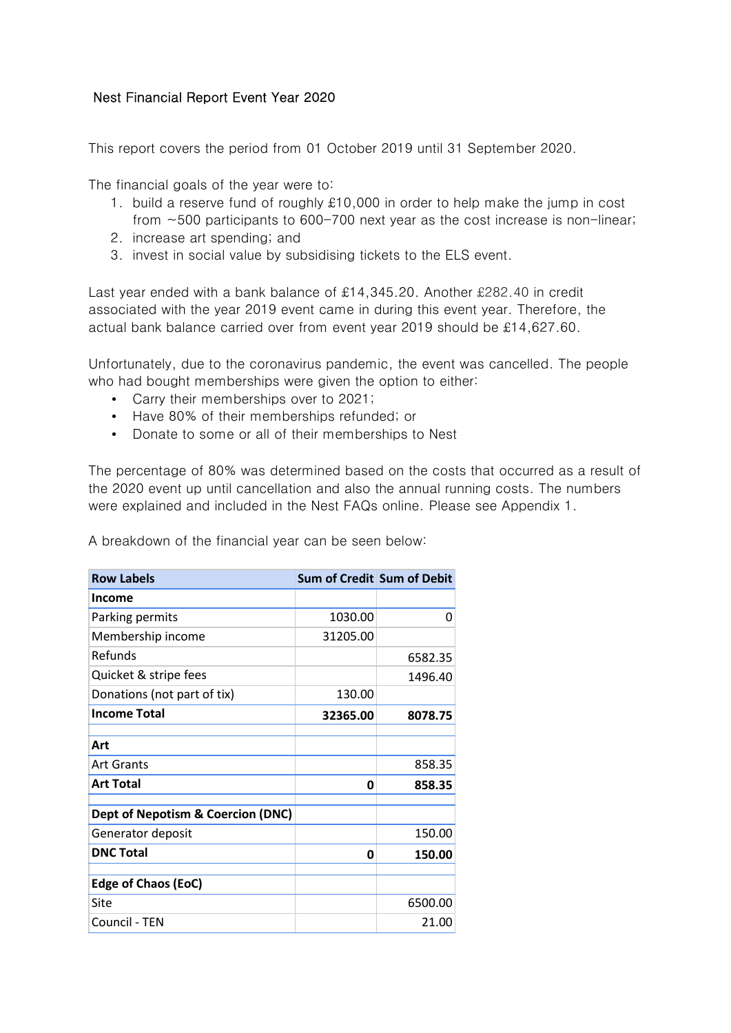## Nest Financial Report Event Year 2020

This report covers the period from 01 October 2019 until 31 September 2020.

The financial goals of the year were to:

- 1. build a reserve fund of roughly £10,000 in order to help make the jump in cost from ~500 participants to 600-700 next year as the cost increase is non-linear;
- 2. increase art spending; and
- 3. invest in social value by subsidising tickets to the ELS event.

Last year ended with a bank balance of £14,345.20. Another £282.40 in credit associated with the year 2019 event came in during this event year. Therefore, the actual bank balance carried over from event year 2019 should be £14,627.60.

Unfortunately, due to the coronavirus pandemic, the event was cancelled. The people who had bought memberships were given the option to either:

- Carry their memberships over to 2021;
- Have 80% of their memberships refunded; or
- Donate to some or all of their memberships to Nest

The percentage of 80% was determined based on the costs that occurred as a result of the 2020 event up until cancellation and also the annual running costs. The numbers were explained and included in the Nest FAQs online. Please see Appendix 1.

A breakdown of the financial year can be seen below:

| <b>Row Labels</b>                 | Sum of Credit Sum of Debit |         |
|-----------------------------------|----------------------------|---------|
| Income                            |                            |         |
| Parking permits                   | 1030.00                    | Ω       |
| Membership income                 | 31205.00                   |         |
| Refunds                           |                            | 6582.35 |
| Quicket & stripe fees             |                            | 1496.40 |
| Donations (not part of tix)       | 130.00                     |         |
| <b>Income Total</b>               | 32365.00                   | 8078.75 |
|                                   |                            |         |
| Art                               |                            |         |
| Art Grants                        |                            | 858.35  |
| <b>Art Total</b>                  | 0                          | 858.35  |
| Dept of Nepotism & Coercion (DNC) |                            |         |
| Generator deposit                 |                            | 150.00  |
|                                   |                            |         |
| <b>DNC Total</b>                  | Ω                          | 150.00  |
| <b>Edge of Chaos (EoC)</b>        |                            |         |
| Site                              |                            | 6500.00 |
| Council - TEN                     |                            | 21.00   |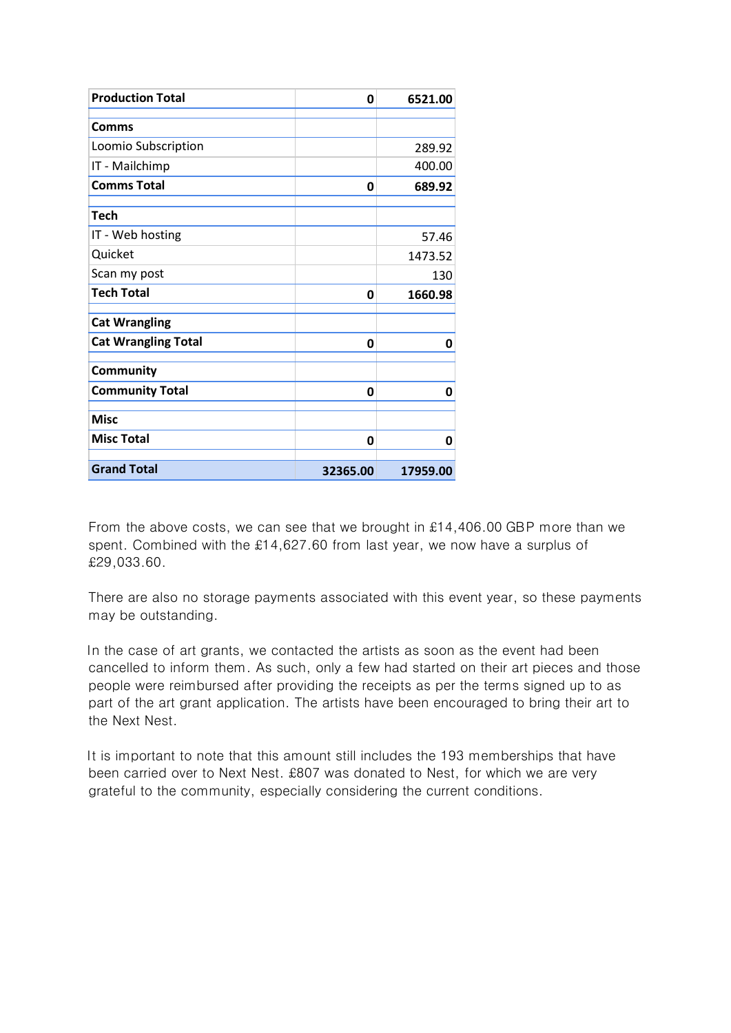| <b>Production Total</b>    | 0        | 6521.00  |
|----------------------------|----------|----------|
| Comms                      |          |          |
| Loomio Subscription        |          | 289.92   |
| IT - Mailchimp             |          | 400.00   |
| <b>Comms Total</b>         | 0        | 689.92   |
| <b>Tech</b>                |          |          |
| IT - Web hosting           |          | 57.46    |
| Quicket                    |          | 1473.52  |
| Scan my post               |          | 130      |
| <b>Tech Total</b>          | 0        | 1660.98  |
| <b>Cat Wrangling</b>       |          |          |
| <b>Cat Wrangling Total</b> | 0        | 0        |
| Community                  |          |          |
| <b>Community Total</b>     | 0        | 0        |
| <b>Misc</b>                |          |          |
| <b>Misc Total</b>          | 0        | 0        |
| <b>Grand Total</b>         | 32365.00 | 17959.00 |

From the above costs, we can see that we brought in £14,406.00 GBP more than we spent. Combined with the £14,627.60 from last year, we now have a surplus of £29,033.60.

There are also no storage payments associated with this event year, so these payments may be outstanding.

In the case of art grants, we contacted the artists as soon as the event had been cancelled to inform them. As such, only a few had started on their art pieces and those people were reimbursed after providing the receipts as per the terms signed up to as part of the art grant application. The artists have been encouraged to bring their art to the Next Nest.

It is important to note that this amount still includes the 193 memberships that have been carried over to Next Nest. £807 was donated to Nest, for which we are very grateful to the community, especially considering the current conditions.